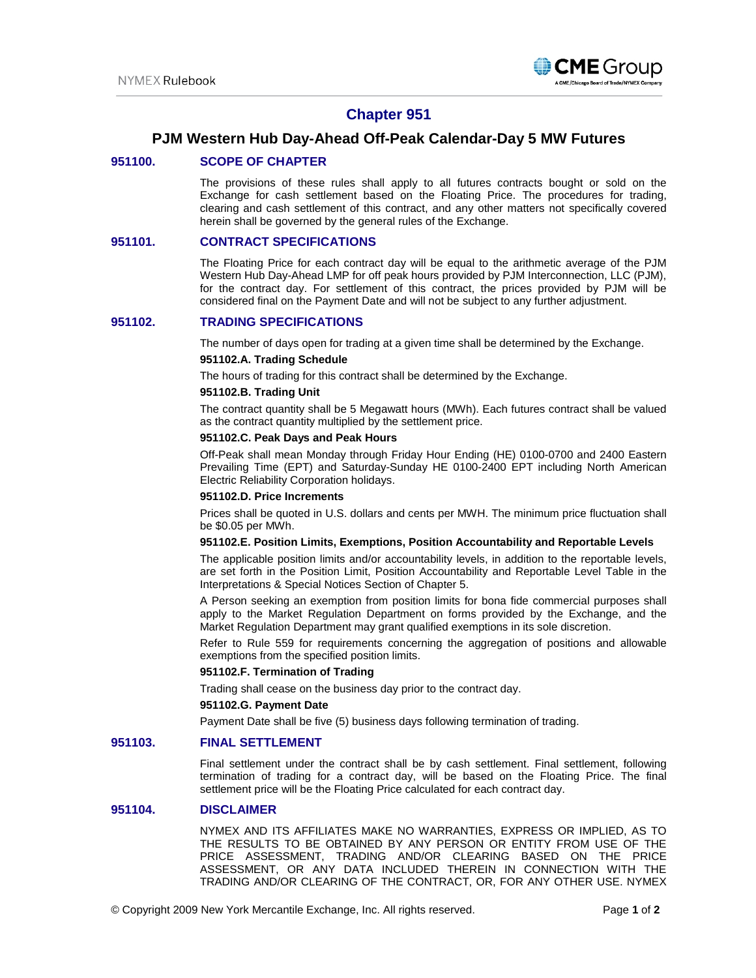

# **Chapter 951**

## **PJM Western Hub Day-Ahead Off-Peak Calendar-Day 5 MW Futures**

## **951100. SCOPE OF CHAPTER**

The provisions of these rules shall apply to all futures contracts bought or sold on the Exchange for cash settlement based on the Floating Price. The procedures for trading, clearing and cash settlement of this contract, and any other matters not specifically covered herein shall be governed by the general rules of the Exchange.

## **951101. CONTRACT SPECIFICATIONS**

The Floating Price for each contract day will be equal to the arithmetic average of the PJM Western Hub Day-Ahead LMP for off peak hours provided by PJM Interconnection, LLC (PJM), for the contract day. For settlement of this contract, the prices provided by PJM will be considered final on the Payment Date and will not be subject to any further adjustment.

## **951102. TRADING SPECIFICATIONS**

The number of days open for trading at a given time shall be determined by the Exchange.

#### **951102.A. Trading Schedule**

The hours of trading for this contract shall be determined by the Exchange.

#### **951102.B. Trading Unit**

The contract quantity shall be 5 Megawatt hours (MWh). Each futures contract shall be valued as the contract quantity multiplied by the settlement price.

#### **951102.C. Peak Days and Peak Hours**

Off-Peak shall mean Monday through Friday Hour Ending (HE) 0100-0700 and 2400 Eastern Prevailing Time (EPT) and Saturday-Sunday HE 0100-2400 EPT including North American Electric Reliability Corporation holidays.

#### **951102.D. Price Increments**

Prices shall be quoted in U.S. dollars and cents per MWH. The minimum price fluctuation shall be \$0.05 per MWh.

#### **951102.E. Position Limits, Exemptions, Position Accountability and Reportable Levels**

The applicable position limits and/or accountability levels, in addition to the reportable levels, are set forth in the Position Limit, Position Accountability and Reportable Level Table in the Interpretations & Special Notices Section of Chapter 5.

A Person seeking an exemption from position limits for bona fide commercial purposes shall apply to the Market Regulation Department on forms provided by the Exchange, and the Market Regulation Department may grant qualified exemptions in its sole discretion.

Refer to Rule 559 for requirements concerning the aggregation of positions and allowable exemptions from the specified position limits.

#### **951102.F. Termination of Trading**

Trading shall cease on the business day prior to the contract day.

## **951102.G. Payment Date**

Payment Date shall be five (5) business days following termination of trading.

## **951103. FINAL SETTLEMENT**

Final settlement under the contract shall be by cash settlement. Final settlement, following termination of trading for a contract day, will be based on the Floating Price. The final settlement price will be the Floating Price calculated for each contract day.

## **951104. DISCLAIMER**

NYMEX AND ITS AFFILIATES MAKE NO WARRANTIES, EXPRESS OR IMPLIED, AS TO THE RESULTS TO BE OBTAINED BY ANY PERSON OR ENTITY FROM USE OF THE PRICE ASSESSMENT, TRADING AND/OR CLEARING BASED ON THE PRICE ASSESSMENT, OR ANY DATA INCLUDED THEREIN IN CONNECTION WITH THE TRADING AND/OR CLEARING OF THE CONTRACT, OR, FOR ANY OTHER USE. NYMEX